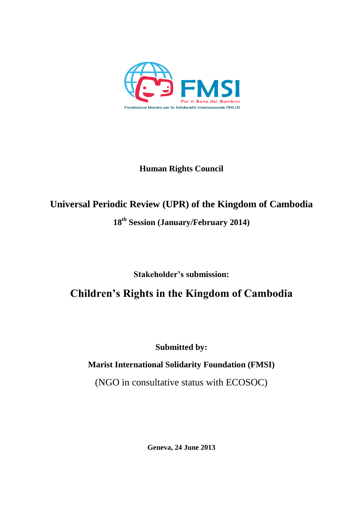

### **Human Rights Council**

# **Universal Periodic Review (UPR) of the Kingdom of Cambodia 18th Session (January/February 2014)**

**Stakeholder's submission:**

## **Children's Rights in the Kingdom of Cambodia**

**Submitted by:**

**Marist International Solidarity Foundation (FMSI)**

(NGO in consultative status with ECOSOC)

**Geneva, 24 June 2013**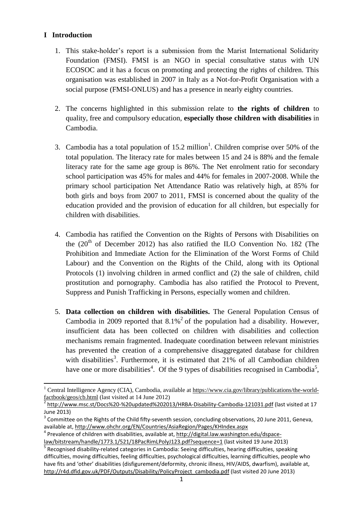#### **I Introduction**

- 1. This stake-holder's report is a submission from the Marist International Solidarity Foundation (FMSI). FMSI is an NGO in special consultative status with UN ECOSOC and it has a focus on promoting and protecting the rights of children. This organisation was established in 2007 in Italy as a Not-for-Profit Organisation with a social purpose (FMSI-ONLUS) and has a presence in nearly eighty countries.
- 2. The concerns highlighted in this submission relate to **the rights of children** to quality, free and compulsory education, **especially those children with disabilities** in Cambodia.
- 3. Cambodia has a total population of  $15.2 \text{ million}^1$ . Children comprise over 50% of the total population. The literacy rate for males between 15 and 24 is 88% and the female literacy rate for the same age group is 86%. The Net enrolment ratio for secondary school participation was 45% for males and 44% for females in 2007-2008. While the primary school participation Net Attendance Ratio was relatively high, at 85% for both girls and boys from 2007 to 2011, FMSI is concerned about the quality of the education provided and the provision of education for all children, but especially for children with disabilities.
- 4. Cambodia has ratified the Convention on the Rights of Persons with Disabilities on the  $(20<sup>th</sup>$  of December 2012) has also ratified the ILO Convention No. 182 (The Prohibition and Immediate Action for the Elimination of the Worst Forms of Child Labour) and the Convention on the Rights of the Child, along with its Optional Protocols (1) involving children in armed conflict and (2) the sale of children, child prostitution and pornography. Cambodia has also ratified the Protocol to Prevent, Suppress and Punish Trafficking in Persons, especially women and children.
- 5. **Data collection on children with disabilities.** The General Population Census of Cambodia in 2009 reported that  $8.1\%$ <sup>2</sup> of the population had a disability. However, insufficient data has been collected on children with disabilities and collection mechanisms remain fragmented. Inadequate coordination between relevant ministries has prevented the creation of a comprehensive disaggregated database for children with disabilities<sup>3</sup>. Furthermore, it is estimated that 21% of all Cambodian children have one or more disabilities<sup>4</sup>. Of the 9 types of disabilities recognised in Cambodia<sup>5</sup>,

<sup>1</sup> <sup>1</sup> Central Intelligence Agency (CIA), Cambodia, available at [https://www.cia.gov/library/publications/the-world](https://www.cia.gov/library/publications/the-world-factbook/geos/cb.html)[factbook/geos/cb.html](https://www.cia.gov/library/publications/the-world-factbook/geos/cb.html) (last visited at 14 June 2012)

<sup>2</sup> <http://www.msc.st/Docs%20-%20updated%202013/HRBA-Disability-Cambodia-121031.pdf> (last visited at 17 June 2013)

 $3$  Committee on the Rights of the Child fifty-seventh session, concluding observations, 20 June 2011, Geneva, available at,<http://www.ohchr.org/EN/Countries/AsiaRegion/Pages/KHIndex.aspx>

<sup>&</sup>lt;sup>4</sup> Prevalence of children with disabilities, available at, [http://digital.law.washington.edu/dspace-](http://digital.law.washington.edu/dspace-law/bitstream/handle/1773.1/521/18PacRimLPolyJ123.pdf?sequence=1)

[law/bitstream/handle/1773.1/521/18PacRimLPolyJ123.pdf?sequence=1](http://digital.law.washington.edu/dspace-law/bitstream/handle/1773.1/521/18PacRimLPolyJ123.pdf?sequence=1) (last visited 19 June 2013)

<sup>&</sup>lt;sup>5</sup> Recognised disability-related categories in Cambodia: Seeing difficulties, hearing difficulties, speaking difficulties, moving difficulties, feeling difficulties, psychological difficulties, learning difficulties, people who have fits and 'other' disabilities (disfigurement/deformity, chronic illness, HIV/AIDS, dwarfism), available at, [http://r4d.dfid.gov.uk/PDF/Outputs/Disability/PolicyProject\\_cambodia.pdf](http://r4d.dfid.gov.uk/PDF/Outputs/Disability/PolicyProject_cambodia.pdf) (last visited 20 June 2013)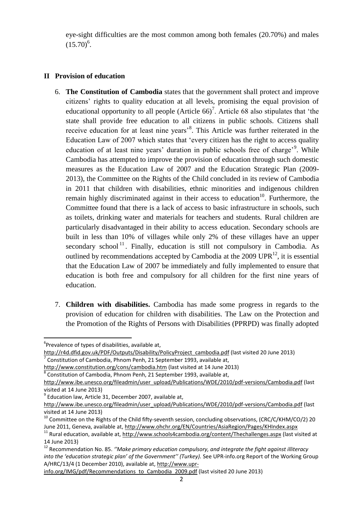eye-sight difficulties are the most common among both females (20.70%) and males  $(15.70)^6$ .

#### **II Provision of education**

- 6. **The Constitution of Cambodia** states that the government shall protect and improve citizens' rights to quality education at all levels, promising the equal provision of educational opportunity to all people (Article  $66$ )<sup>7</sup>. Article 68 also stipulates that 'the state shall provide free education to all citizens in public schools. Citizens shall receive education for at least nine years<sup>8</sup>. This Article was further reiterated in the Education Law of 2007 which states that 'every citizen has the right to access quality education of at least nine years' duration in public schools free of charge'<sup>9</sup>. While Cambodia has attempted to improve the provision of education through such domestic measures as the Education Law of 2007 and the Education Strategic Plan (2009- 2013), the Committee on the Rights of the Child concluded in its review of Cambodia in 2011 that children with disabilities, ethnic minorities and indigenous children remain highly discriminated against in their access to education<sup>10</sup>. Furthermore, the Committee found that there is a lack of access to basic infrastructure in schools, such as toilets, drinking water and materials for teachers and students. Rural children are particularly disadvantaged in their ability to access education. Secondary schools are built in less than 10% of villages while only 2% of these villages have an upper secondary school<sup>11</sup>. Finally, education is still not compulsory in Cambodia. As outlined by recommendations accepted by Cambodia at the 2009  $UPR^{12}$ , it is essential that the Education Law of 2007 be immediately and fully implemented to ensure that education is both free and compulsory for all children for the first nine years of education.
- 7. **Children with disabilities.** Cambodia has made some progress in regards to the provision of education for children with disabilities. The Law on the Protection and the Promotion of the Rights of Persons with Disabilities (PPRPD) was finally adopted

.

[info.org/IMG/pdf/Recommendations\\_to\\_Cambodia\\_2009.pdf](http://www.upr-info.org/IMG/pdf/Recommendations_to_Cambodia_2009.pdf) (last visited 20 June 2013)

<sup>&</sup>lt;sup>6</sup>Prevalence of types of disabilities, available at,

[http://r4d.dfid.gov.uk/PDF/Outputs/Disability/PolicyProject\\_cambodia.pdf](http://r4d.dfid.gov.uk/PDF/Outputs/Disability/PolicyProject_cambodia.pdf) (last visited 20 June 2013)<br>7 Constitution of Cambodia. Phnom Ponh. 21 Sontomber 1993, available at Constitution of Cambodia, Phnom Penh, 21 September 1993, available at,

<http://www.constitution.org/cons/cambodia.htm> (last visited at 14 June 2013)

<sup>&</sup>lt;sup>8</sup> Constitution of Cambodia, Phnom Penh, 21 September 1993, available at,

[http://www.ibe.unesco.org/fileadmin/user\\_upload/Publications/WDE/2010/pdf-versions/Cambodia.pdf](http://www.ibe.unesco.org/fileadmin/user_upload/Publications/WDE/2010/pdf-versions/Cambodia.pdf) (last visited at 14 June 2013)

 $^9$  Education law, Article 31, December 2007, available at,

[http://www.ibe.unesco.org/fileadmin/user\\_upload/Publications/WDE/2010/pdf-versions/Cambodia.pdf](http://www.ibe.unesco.org/fileadmin/user_upload/Publications/WDE/2010/pdf-versions/Cambodia.pdf) (last visited at 14 June 2013)

<sup>10</sup> Committee on the Rights of the Child fifty-seventh session, concluding observations, (CRC/C/KHM/CO/2) 20 June 2011, Geneva, available at[, http://www.ohchr.org/EN/Countries/AsiaRegion/Pages/KHIndex.aspx](http://www.ohchr.org/EN/Countries/AsiaRegion/Pages/KHIndex.aspx)

<sup>11</sup> Rural education, available at,<http://www.schools4cambodia.org/content/Thechallenges.aspx> (last visited at 14 June 2013)

<sup>12</sup> Recommendation No. 85. *''Make primary education compulsory, and integrate the fight against illiteracy into the 'education strategic plan' of the Government'' (Turkey).* See UPR-info.org Report of the Working Group A/HRC/13/4 (1 December 2010), available at[, http://www.upr-](http://www.upr-info.org/IMG/pdf/Recommendations_to_Cambodia_2009.pdf)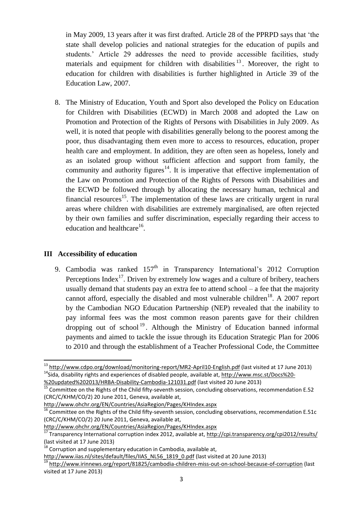in May 2009, 13 years after it was first drafted. Article 28 of the PPRPD says that 'the state shall develop policies and national strategies for the education of pupils and students.' Article 29 addresses the need to provide accessible facilities, study materials and equipment for children with disabilities  $13$ . Moreover, the right to education for children with disabilities is further highlighted in Article 39 of the Education Law, 2007.

8. The Ministry of Education, Youth and Sport also developed the Policy on Education for Children with Disabilities (ECWD) in March 2008 and adopted the Law on Promotion and Protection of the Rights of Persons with Disabilities in July 2009. As well, it is noted that people with disabilities generally belong to the poorest among the poor, thus disadvantaging them even more to access to resources, education, proper health care and employment. In addition, they are often seen as hopeless, lonely and as an isolated group without sufficient affection and support from family, the community and authority figures<sup>14</sup>. It is imperative that effective implementation of the Law on Promotion and Protection of the Rights of Persons with Disabilities and the ECWD be followed through by allocating the necessary human, technical and financial resources<sup>15</sup>. The implementation of these laws are critically urgent in rural areas where children with disabilities are extremely marginalised, are often rejected by their own families and suffer discrimination, especially regarding their access to education and healthcare $^{16}$ .

#### **III Accessibility of education**

1

9. Cambodia was ranked  $157<sup>th</sup>$  in Transparency International's 2012 Corruption Perceptions Index<sup>17</sup>. Driven by extremely low wages and a culture of bribery, teachers usually demand that students pay an extra fee to attend school – a fee that the majority cannot afford, especially the disabled and most vulnerable children<sup>18</sup>. A 2007 report by the Cambodian NGO Education Partnership (NEP) revealed that the inability to pay informal fees was the most common reason parents gave for their children dropping out of school<sup>19</sup>. Although the Ministry of Education banned informal payments and aimed to tackle the issue through its Education Strategic Plan for 2006 to 2010 and through the establishment of a Teacher Professional Code, the Committee

<http://www.ohchr.org/EN/Countries/AsiaRegion/Pages/KHIndex.aspx>

<sup>13</sup> <http://www.cdpo.org/download/monitoring-report/MR2-April10-English.pdf> (last visited at 17 June 2013) <sup>14</sup>Sida, disability rights and experiences of disabled people, available at, [http://www.msc.st/Docs%20-](http://www.msc.st/Docs%20-%20updated%202013/HRBA-Disability-Cambodia-121031.pdf) [%20updated%202013/HRBA-Disability-Cambodia-121031.pdf](http://www.msc.st/Docs%20-%20updated%202013/HRBA-Disability-Cambodia-121031.pdf) (last visited 20 June 2013)

<sup>&</sup>lt;sup>15</sup> Committee on the Rights of the Child fifty-seventh session, concluding observations, recommendation E.52 (CRC/C/KHM/CO/2) 20 June 2011, Geneva, available at,

 $\frac{16}{16}$  Committee on the Rights of the Child fifty-seventh session, concluding observations, recommendation E.51c (CRC/C/KHM/CO/2) 20 June 2011, Geneva, available at,

<http://www.ohchr.org/EN/Countries/AsiaRegion/Pages/KHIndex.aspx>

<sup>&</sup>lt;sup>17</sup> Transparency International corruption index 2012, available at,<http://cpi.transparency.org/cpi2012/results/> (last visited at 17 June 2013)

 $18$  Corruption and supplementary education in Cambodia, available at,

[http://www.iias.nl/sites/default/files/IIAS\\_NL56\\_1819\\_0.pdf](http://www.iias.nl/sites/default/files/IIAS_NL56_1819_0.pdf) (last visited at 20 June 2013)

<sup>&</sup>lt;sup>19</sup> <http://www.irinnews.org/report/81825/cambodia-children-miss-out-on-school-because-of-corruption> (last visited at 17 June 2013)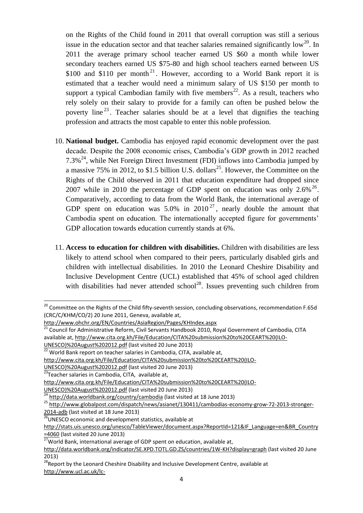on the Rights of the Child found in 2011 that overall corruption was still a serious issue in the education sector and that teacher salaries remained significantly  $low^{20}$ . In 2011 the average primary school teacher earned US \$60 a month while lower secondary teachers earned US \$75-80 and high school teachers earned between US \$100 and \$110 per month<sup>21</sup>. However, according to a World Bank report it is estimated that a teacher would need a minimum salary of US \$150 per month to support a typical Cambodian family with five members<sup>22</sup>. As a result, teachers who rely solely on their salary to provide for a family can often be pushed below the poverty line<sup>23</sup>. Teacher salaries should be at a level that dignifies the teaching profession and attracts the most capable to enter this noble profession.

- 10. **National budget.** Cambodia has enjoyed rapid economic development over the past decade. Despite the 2008 economic crises, Cambodia's GDP growth in 2012 reached 7.3%<sup>24</sup>, while Net Foreign Direct Investment (FDI) inflows into Cambodia jumped by a massive 75% in 2012, to \$1.5 billion U.S. dollars<sup>25</sup>. However, the Committee on the Rights of the Child observed in 2011 that education expenditure had dropped since 2007 while in 2010 the percentage of GDP spent on education was only  $2.6\%$ <sup>26</sup>. Comparatively, according to data from the World Bank, the international average of GDP spent on education was  $5.0\%$  in  $2010^{27}$ , nearly double the amount that Cambodia spent on education. The internationally accepted figure for governments' GDP allocation towards education currently stands at 6%.
- 11. **Access to education for children with disabilities.** Children with disabilities are less likely to attend school when compared to their peers, particularly disabled girls and children with intellectual disabilities. In 2010 the Leonard Cheshire Disability and Inclusive Development Centre (UCL) established that 45% of school aged children with disabilities had never attended school<sup>28</sup>. Issues preventing such children from

<sup>1</sup> <sup>20</sup> Committee on the Rights of the Child fifty-seventh session, concluding observations, recommendation F.65d (CRC/C/KHM/CO/2) 20 June 2011, Geneva, available at,

<http://www.ohchr.org/EN/Countries/AsiaRegion/Pages/KHIndex.aspx>

<sup>&</sup>lt;sup>21</sup> Council for Administrative Reform, Civil Servants Handbook 2010, Royal Government of Cambodia, CITA available at, [http://www.cita.org.kh/File/Education/CITA%20submission%20to%20CEART%20\(ILO-](http://www.cita.org.kh/File/Education/CITA%20submission%20to%20CEART%20(ILO-UNESCO)%20August%202012.pdf)

[UNESCO\)%20August%202012.pdf](http://www.cita.org.kh/File/Education/CITA%20submission%20to%20CEART%20(ILO-UNESCO)%20August%202012.pdf) (last visited 20 June 2013)

<sup>&</sup>lt;sup>22</sup> World Bank report on teacher salaries in Cambodia, CITA, available at,

[http://www.cita.org.kh/File/Education/CITA%20submission%20to%20CEART%20\(ILO-](http://www.cita.org.kh/File/Education/CITA%20submission%20to%20CEART%20(ILO-UNESCO)%20August%202012.pdf)

[UNESCO\)%20August%202012.pdf](http://www.cita.org.kh/File/Education/CITA%20submission%20to%20CEART%20(ILO-UNESCO)%20August%202012.pdf) (last visited 20 June 2013)

<sup>&</sup>lt;sup>23</sup>Teacher salaries in Cambodia, CITA, available at,

[http://www.cita.org.kh/File/Education/CITA%20submission%20to%20CEART%20\(ILO-](http://www.cita.org.kh/File/Education/CITA%20submission%20to%20CEART%20(ILO-UNESCO)%20August%202012.pdf)

[UNESCO\)%20August%202012.pdf](http://www.cita.org.kh/File/Education/CITA%20submission%20to%20CEART%20(ILO-UNESCO)%20August%202012.pdf) (last visited 20 June 2013)

<sup>&</sup>lt;sup>24</sup> <http://data.worldbank.org/country/cambodia> (last visited at 18 June 2013)

<sup>25</sup> [http://www.globalpost.com/dispatch/news/asianet/130411/cambodias-economy-grow-72-2013-stronger-](http://www.globalpost.com/dispatch/news/asianet/130411/cambodias-economy-grow-72-2013-stronger-2014-adb)[2014-adb](http://www.globalpost.com/dispatch/news/asianet/130411/cambodias-economy-grow-72-2013-stronger-2014-adb) (last visited at 18 June 2013)

<sup>26</sup>LH USE (NOT TOTAL THE 2001)<br><sup>26</sup>UNESCO economic and development statistics, available at

[http://stats.uis.unesco.org/unesco/TableViewer/document.aspx?ReportId=121&IF\\_Language=en&BR\\_Country](http://stats.uis.unesco.org/unesco/TableViewer/document.aspx?ReportId=121&IF_Language=en&BR_Country=4060) [=4060](http://stats.uis.unesco.org/unesco/TableViewer/document.aspx?ReportId=121&IF_Language=en&BR_Country=4060) (last visited 20 June 2013)

 $\frac{27000}{27}$ World Bank, international average of GDP spent on education, available at,

<http://data.worldbank.org/indicator/SE.XPD.TOTL.GD.ZS/countries/1W-KH?display=graph> (last visited 20 June 2013)

<sup>&</sup>lt;sup>28</sup> Report by the Leonard Cheshire Disability and Inclusive Development Centre, available at [http://www.ucl.ac.uk/lc-](http://www.ucl.ac.uk/lc-ccr/centrepublications/workingpapers/WP11_Increasing_inclusion_of_persons_with_disabilities.pdf)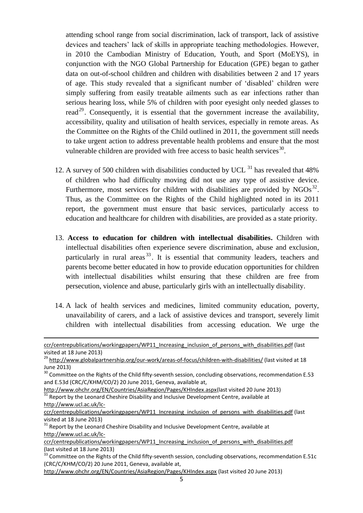attending school range from social discrimination, lack of transport, lack of assistive devices and teachers' lack of skills in appropriate teaching methodologies. However, in 2010 the Cambodian Ministry of Education, Youth, and Sport (MoEYS), in conjunction with the NGO Global Partnership for Education (GPE) began to gather data on out-of-school children and children with disabilities between 2 and 17 years of age. This study revealed that a significant number of 'disabled' children were simply suffering from easily treatable ailments such as ear infections rather than serious hearing loss, while 5% of children with poor eyesight only needed glasses to read<sup>29</sup>. Consequently, it is essential that the government increase the availability, accessibility, quality and utilisation of health services, especially in remote areas. As the Committee on the Rights of the Child outlined in 2011, the government still needs to take urgent action to address preventable health problems and ensure that the most vulnerable children are provided with free access to basic health services<sup>30</sup>.

- 12. A survey of 500 children with disabilities conducted by UCL  $^{31}$  has revealed that 48% of children who had difficulty moving did not use any type of assistive device. Furthermore, most services for children with disabilities are provided by  $NGOs<sup>32</sup>$ . Thus, as the Committee on the Rights of the Child highlighted noted in its 2011 report, the government must ensure that basic services, particularly access to education and healthcare for children with disabilities, are provided as a state priority.
- 13. **Access to education for children with intellectual disabilities.** Children with intellectual disabilities often experience severe discrimination, abuse and exclusion, particularly in rural areas  $33$ . It is essential that community leaders, teachers and parents become better educated in how to provide education opportunities for children with intellectual disabilities whilst ensuring that these children are free from persecution, violence and abuse, particularly girls with an intellectually disability.
- 14. A lack of health services and medicines, limited community education, poverty, unavailability of carers, and a lack of assistive devices and transport, severely limit children with intellectual disabilities from accessing education. We urge the

.

[ccr/centrepublications/workingpapers/WP11\\_Increasing\\_inclusion\\_of\\_persons\\_with\\_disabilities.pdf](http://www.ucl.ac.uk/lc-ccr/centrepublications/workingpapers/WP11_Increasing_inclusion_of_persons_with_disabilities.pdf) (last visited at 18 June 2013)

<sup>29</sup> <http://www.globalpartnership.org/our-work/areas-of-focus/children-with-disabilities/> (last visited at 18 June 2013)

<sup>&</sup>lt;sup>30</sup> Committee on the Rights of the Child fifty-seventh session, concluding observations, recommendation E.53 and E.53d (CRC/C/KHM/CO/2) 20 June 2011, Geneva, available at,

[http://www.ohchr.org/EN/Countries/AsiaRegion/Pages/KHIndex.aspx\(](http://www.ohchr.org/EN/Countries/AsiaRegion/Pages/KHIndex.aspx)last visited 20 June 2013)  $31$  Report by the Leonard Cheshire Disability and Inclusive Development Centre, available at [http://www.ucl.ac.uk/lc-](http://www.ucl.ac.uk/lc-ccr/centrepublications/workingpapers/WP11_Increasing_inclusion_of_persons_with_disabilities.pdf)

[ccr/centrepublications/workingpapers/WP11\\_Increasing\\_inclusion\\_of\\_persons\\_with\\_disabilities.pdf](http://www.ucl.ac.uk/lc-ccr/centrepublications/workingpapers/WP11_Increasing_inclusion_of_persons_with_disabilities.pdf) (last visited at 18 June 2013)

<sup>&</sup>lt;sup>31</sup> Report by the Leonard Cheshire Disability and Inclusive Development Centre, available at [http://www.ucl.ac.uk/lc-](http://www.ucl.ac.uk/lc-ccr/centrepublications/workingpapers/WP11_Increasing_inclusion_of_persons_with_disabilities.pdf)

[ccr/centrepublications/workingpapers/WP11\\_Increasing\\_inclusion\\_of\\_persons\\_with\\_disabilities.pdf](http://www.ucl.ac.uk/lc-ccr/centrepublications/workingpapers/WP11_Increasing_inclusion_of_persons_with_disabilities.pdf) (last visited at 18 June 2013)

 $33$  Committee on the Rights of the Child fifty-seventh session, concluding observations, recommendation E.51c (CRC/C/KHM/CO/2) 20 June 2011, Geneva, available at,

<http://www.ohchr.org/EN/Countries/AsiaRegion/Pages/KHIndex.aspx> (last visited 20 June 2013)